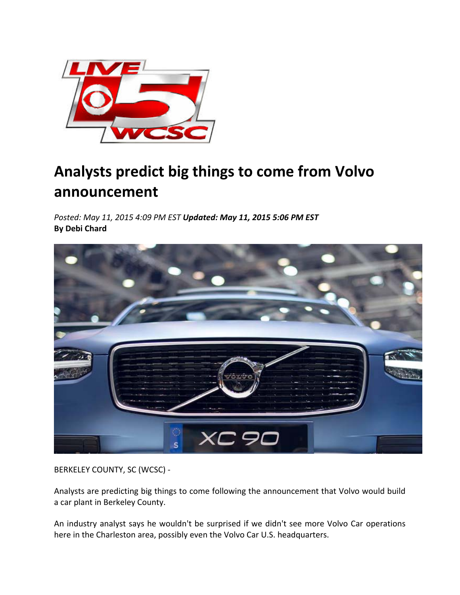

## **Analysts predict big things to come from Volvo announcement**

*Posted: May 11, 2015 4:09 PM EST Updated: May 11, 2015 5:06 PM EST* **By Debi Chard**



BERKELEY COUNTY, SC (WCSC) ‐

Analysts are predicting big things to come following the announcement that Volvo would build a car plant in Berkeley County.

An industry analyst says he wouldn't be surprised if we didn't see more Volvo Car operations here in the Charleston area, possibly even the Volvo Car U.S. headquarters.